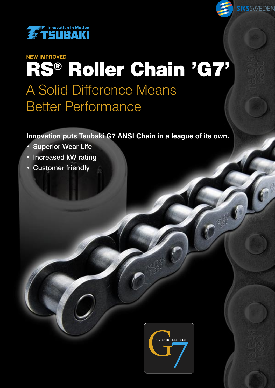

# RS® Roller Chain 'G7' A Solid Difference Means Better Performance **NEW IMPROVED**

SKSSWEDEN

**Innovation puts Tsubaki G7 ANSI Chain in a league of its own.**

- **Superior Wear Life**
- Increased kW rating
- Customer friendly